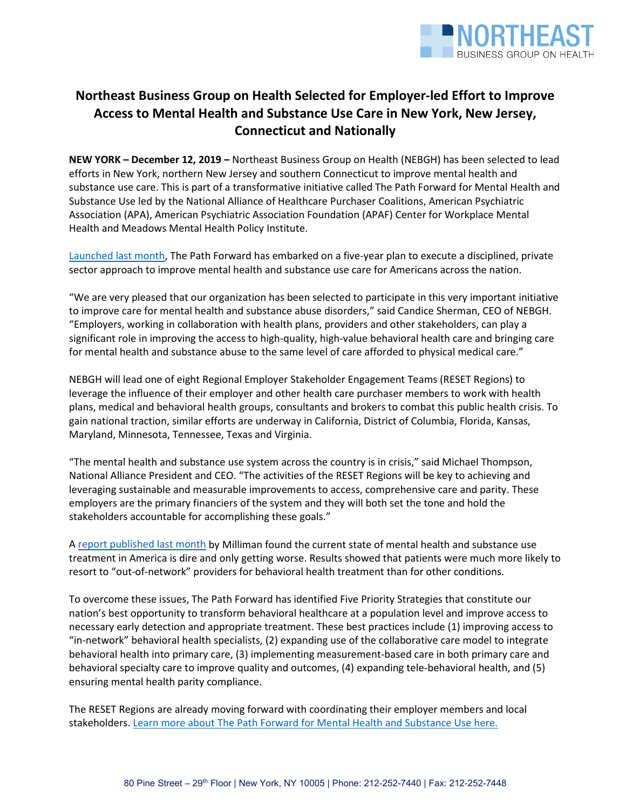

# **Northeast Business Group on Health Selected for Employer-led Effort to Improve Access to Mental Health and Substance Use Care in New York, New Jersey, Connecticut and Nationally**

**NEW YORK – December 12, 2019 –** Northeast Business Group on Health (NEBGH) has been selected to lead efforts in New York, northern New Jersey and southern Connecticut to improve mental health and substance use care. This is part of a transformative initiative called The Path Forward for Mental Health and Substance Use led by the National Alliance of Healthcare Purchaser Coalitions, American Psychiatric Association (APA), American Psychiatric Association Foundation (APAF) Center for Workplace Mental Health and Meadows Mental Health Policy Institute.

[Launched last month,](https://www.nationalalliancehealth.org/www/initiatives/initiatives-national/workplace-mental-health/pathforward) The Path Forward has embarked on a five-year plan to execute a disciplined, private sector approach to improve mental health and substance use care for Americans across the nation.

"We are very pleased that our organization has been selected to participate in this very important initiative to improve care for mental health and substance abuse disorders," said Candice Sherman, CEO of NEBGH. "Employers, working in collaboration with health plans, providers and other stakeholders, can play a significant role in improving the access to high-quality, high-value behavioral health care and bringing care for mental health and substance abuse to the same level of care afforded to physical medical care."

NEBGH will lead one of eight Regional Employer Stakeholder Engagement Teams (RESET Regions) to leverage the influence of their employer and other health care purchaser members to work with health plans, medical and behavioral health groups, consultants and brokers to combat this public health crisis. To gain national traction, similar efforts are underway in California, District of Columbia, Florida, Kansas, Maryland, Minnesota, Tennessee, Texas and Virginia.

"The mental health and substance use system across the country is in crisis," said Michael Thompson, National Alliance President and CEO. "The activities of the RESET Regions will be key to achieving and leveraging sustainable and measurable improvements to access, comprehensive care and parity. These employers are the primary financiers of the system and they will both set the tone and hold the stakeholders accountable for accomplishing these goals."

A [report published last month](http://www.milliman.com/bowman/) by Milliman found the current state of mental health and substance use treatment in America is dire and only getting worse. Results showed that patients were much more likely to resort to "out-of-network" providers for behavioral health treatment than for other conditions.

To overcome these issues, The Path Forward has identified Five Priority Strategies that constitute our nation's best opportunity to transform behavioral healthcare at a population level and improve access to necessary early detection and appropriate treatment. These best practices include (1) improving access to "in-network" behavioral health specialists, (2) expanding use of the collaborative care model to integrate behavioral health into primary care, (3) implementing measurement-based care in both primary care and behavioral specialty care to improve quality and outcomes, (4) expanding tele-behavioral health, and (5) ensuring mental health parity compliance.

The RESET Regions are already moving forward with coordinating their employer members and local stakeholders. Learn more about The [Path Forward for Mental Health and Substance Use](https://www.nationalalliancehealth.org/www/initiatives/initiatives-national/workplace-mental-health/pathforward) here.